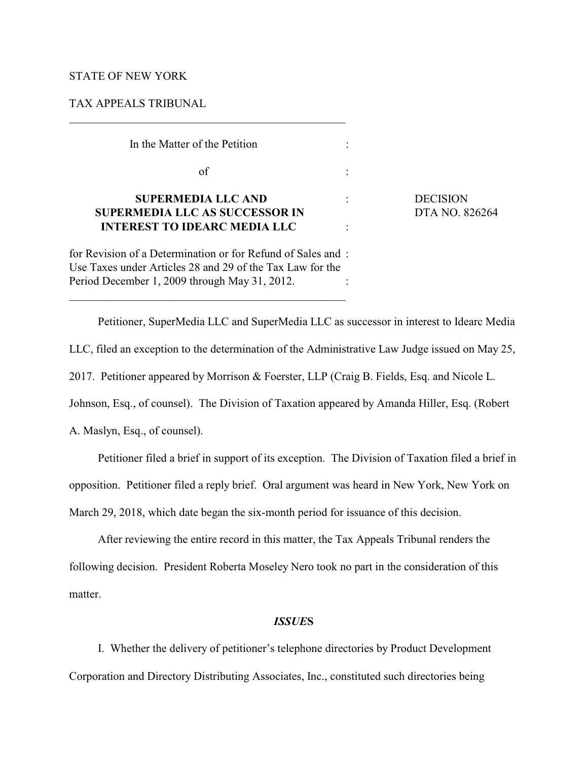## STATE OF NEW YORK

### TAX APPEALS TRIBUNAL

 In the Matter of the Petition :  $\sigma$  of  $\sigma$ :

# **SUPERMEDIA LLC AND : DECISION SUPERMEDIA LLC AS SUCCESSOR IN** DTA NO. 826264 **INTEREST TO IDEARC MEDIA LLC** :

for Revision of a Determination or for Refund of Sales and : Use Taxes under Articles 28 and 29 of the Tax Law for the Period December 1, 2009 through May 31, 2012.

 $\mathcal{L}_\mathcal{L} = \{ \mathcal{L}_\mathcal{L} = \{ \mathcal{L}_\mathcal{L} = \{ \mathcal{L}_\mathcal{L} = \{ \mathcal{L}_\mathcal{L} = \{ \mathcal{L}_\mathcal{L} = \{ \mathcal{L}_\mathcal{L} = \{ \mathcal{L}_\mathcal{L} = \{ \mathcal{L}_\mathcal{L} = \{ \mathcal{L}_\mathcal{L} = \{ \mathcal{L}_\mathcal{L} = \{ \mathcal{L}_\mathcal{L} = \{ \mathcal{L}_\mathcal{L} = \{ \mathcal{L}_\mathcal{L} = \{ \mathcal{L}_\mathcal{$ 

Petitioner, SuperMedia LLC and SuperMedia LLC as successor in interest to Idearc Media LLC, filed an exception to the determination of the Administrative Law Judge issued on May 25, 2017. Petitioner appeared by Morrison & Foerster, LLP (Craig B. Fields, Esq. and Nicole L. Johnson, Esq., of counsel). The Division of Taxation appeared by Amanda Hiller, Esq. (Robert

A. Maslyn, Esq., of counsel).

Petitioner filed a brief in support of its exception. The Division of Taxation filed a brief in opposition. Petitioner filed a reply brief. Oral argument was heard in New York, New York on March 29, 2018, which date began the six-month period for issuance of this decision.

After reviewing the entire record in this matter, the Tax Appeals Tribunal renders the following decision. President Roberta Moseley Nero took no part in the consideration of this matter.

### *ISSUE***S**

I.Whether the delivery of petitioner's telephone directories by Product Development Corporation and Directory Distributing Associates, Inc., constituted such directories being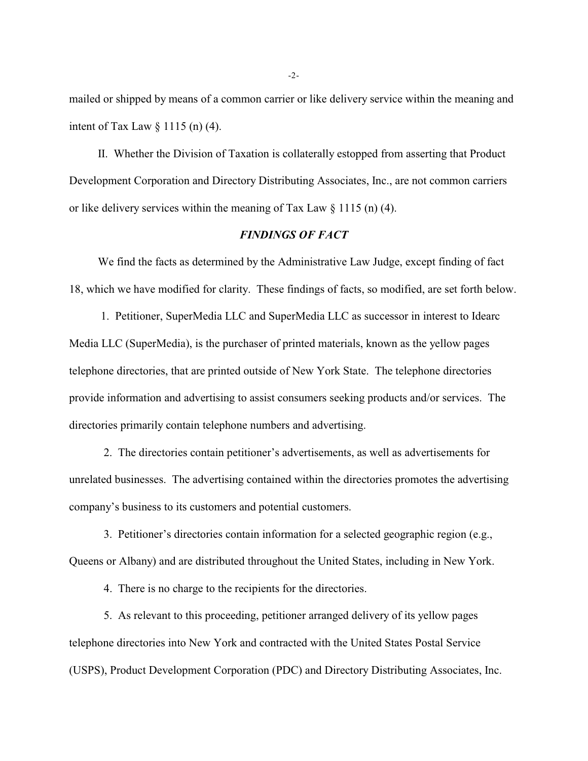mailed or shipped by means of a common carrier or like delivery service within the meaning and intent of Tax Law § 1115 (n) (4).

II. Whether the Division of Taxation is collaterally estopped from asserting that Product Development Corporation and Directory Distributing Associates, Inc., are not common carriers or like delivery services within the meaning of Tax Law  $\S$  1115 (n) (4).

# *FINDINGS OF FACT*

We find the facts as determined by the Administrative Law Judge, except finding of fact 18, which we have modified for clarity. These findings of facts, so modified, are set forth below.

 1. Petitioner, SuperMedia LLC and SuperMedia LLC as successor in interest to Idearc Media LLC (SuperMedia), is the purchaser of printed materials, known as the yellow pages telephone directories, that are printed outside of New York State. The telephone directories provide information and advertising to assist consumers seeking products and/or services. The directories primarily contain telephone numbers and advertising.

 2. The directories contain petitioner's advertisements, as well as advertisements for unrelated businesses. The advertising contained within the directories promotes the advertising company's business to its customers and potential customers.

 3. Petitioner's directories contain information for a selected geographic region (e.g., Queens or Albany) and are distributed throughout the United States, including in New York.

4. There is no charge to the recipients for the directories.

5. As relevant to this proceeding, petitioner arranged delivery of its yellow pages telephone directories into New York and contracted with the United States Postal Service (USPS), Product Development Corporation (PDC) and Directory Distributing Associates, Inc.

-2-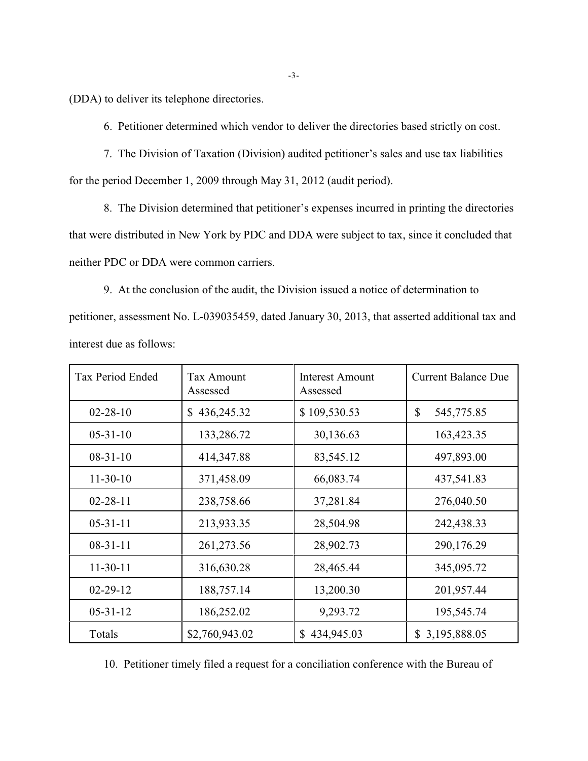(DDA) to deliver its telephone directories.

6. Petitioner determined which vendor to deliver the directories based strictly on cost.

7. The Division of Taxation (Division) audited petitioner's sales and use tax liabilities for the period December 1, 2009 through May 31, 2012 (audit period).

8. The Division determined that petitioner's expenses incurred in printing the directories that were distributed in New York by PDC and DDA were subject to tax, since it concluded that neither PDC or DDA were common carriers.

9. At the conclusion of the audit, the Division issued a notice of determination to petitioner, assessment No. L-039035459, dated January 30, 2013, that asserted additional tax and interest due as follows:

| Tax Period Ended | <b>Tax Amount</b><br>Assessed | <b>Interest Amount</b><br>Assessed | <b>Current Balance Due</b> |
|------------------|-------------------------------|------------------------------------|----------------------------|
| $02 - 28 - 10$   | 436,245.32<br>S.              | \$109,530.53                       | \$<br>545,775.85           |
| $05 - 31 - 10$   | 133,286.72                    | 30,136.63                          | 163,423.35                 |
| $08-31-10$       | 414,347.88                    | 83,545.12                          | 497,893.00                 |
| $11-30-10$       | 371,458.09                    | 66,083.74                          | 437,541.83                 |
| $02 - 28 - 11$   | 238,758.66                    | 37,281.84                          | 276,040.50                 |
| $05-31-11$       | 213,933.35                    | 28,504.98                          | 242,438.33                 |
| $08-31-11$       | 261,273.56                    | 28,902.73                          | 290,176.29                 |
| $11-30-11$       | 316,630.28                    | 28,465.44                          | 345,095.72                 |
| $02 - 29 - 12$   | 188,757.14                    | 13,200.30                          | 201,957.44                 |
| $05-31-12$       | 186,252.02                    | 9,293.72                           | 195,545.74                 |
| Totals           | \$2,760,943.02                | \$434,945.03                       | \$3,195,888.05             |

10. Petitioner timely filed a request for a conciliation conference with the Bureau of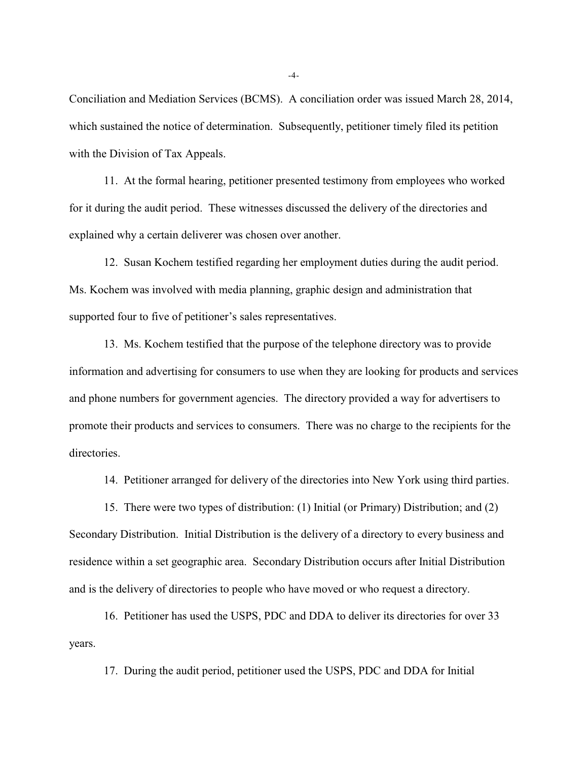Conciliation and Mediation Services (BCMS). A conciliation order was issued March 28, 2014, which sustained the notice of determination. Subsequently, petitioner timely filed its petition with the Division of Tax Appeals.

11. At the formal hearing, petitioner presented testimony from employees who worked for it during the audit period. These witnesses discussed the delivery of the directories and explained why a certain deliverer was chosen over another.

12. Susan Kochem testified regarding her employment duties during the audit period. Ms. Kochem was involved with media planning, graphic design and administration that supported four to five of petitioner's sales representatives.

13. Ms. Kochem testified that the purpose of the telephone directory was to provide information and advertising for consumers to use when they are looking for products and services and phone numbers for government agencies. The directory provided a way for advertisers to promote their products and services to consumers. There was no charge to the recipients for the directories.

14. Petitioner arranged for delivery of the directories into New York using third parties.

15. There were two types of distribution: (1) Initial (or Primary) Distribution; and (2) Secondary Distribution. Initial Distribution is the delivery of a directory to every business and residence within a set geographic area. Secondary Distribution occurs after Initial Distribution and is the delivery of directories to people who have moved or who request a directory.

16. Petitioner has used the USPS, PDC and DDA to deliver its directories for over 33 years.

17. During the audit period, petitioner used the USPS, PDC and DDA for Initial

-4-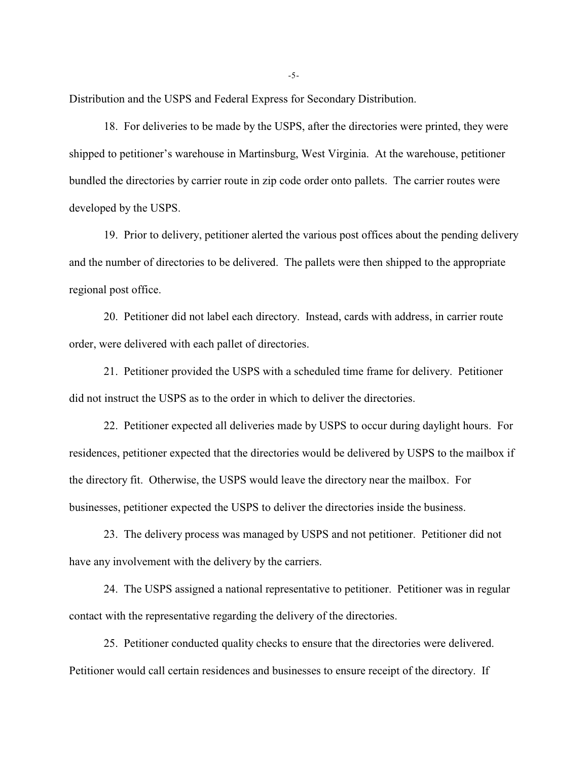Distribution and the USPS and Federal Express for Secondary Distribution.

18. For deliveries to be made by the USPS, after the directories were printed, they were shipped to petitioner's warehouse in Martinsburg, West Virginia. At the warehouse, petitioner bundled the directories by carrier route in zip code order onto pallets. The carrier routes were developed by the USPS.

19. Prior to delivery, petitioner alerted the various post offices about the pending delivery and the number of directories to be delivered. The pallets were then shipped to the appropriate regional post office.

20. Petitioner did not label each directory. Instead, cards with address, in carrier route order, were delivered with each pallet of directories.

21. Petitioner provided the USPS with a scheduled time frame for delivery. Petitioner did not instruct the USPS as to the order in which to deliver the directories.

22. Petitioner expected all deliveries made by USPS to occur during daylight hours. For residences, petitioner expected that the directories would be delivered by USPS to the mailbox if the directory fit. Otherwise, the USPS would leave the directory near the mailbox. For businesses, petitioner expected the USPS to deliver the directories inside the business.

23. The delivery process was managed by USPS and not petitioner. Petitioner did not have any involvement with the delivery by the carriers.

24. The USPS assigned a national representative to petitioner. Petitioner was in regular contact with the representative regarding the delivery of the directories.

25. Petitioner conducted quality checks to ensure that the directories were delivered. Petitioner would call certain residences and businesses to ensure receipt of the directory. If

-5-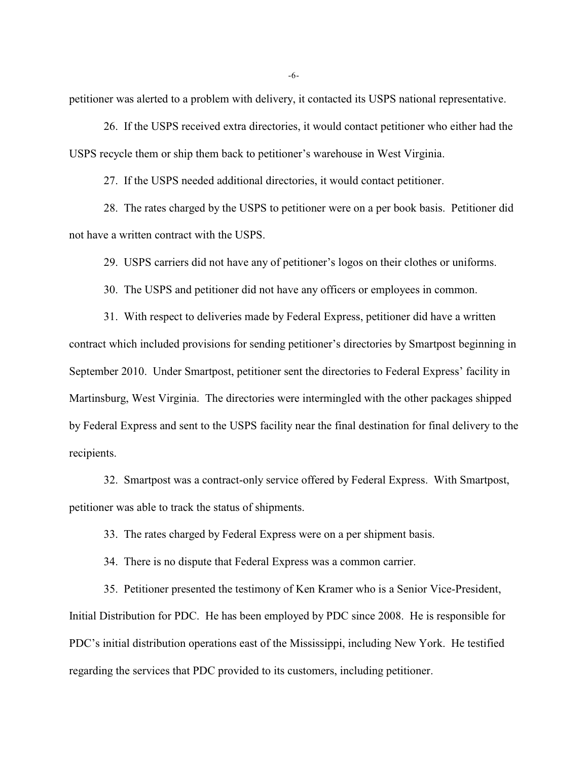petitioner was alerted to a problem with delivery, it contacted its USPS national representative.

26. If the USPS received extra directories, it would contact petitioner who either had the USPS recycle them or ship them back to petitioner's warehouse in West Virginia.

27. If the USPS needed additional directories, it would contact petitioner.

28. The rates charged by the USPS to petitioner were on a per book basis. Petitioner did not have a written contract with the USPS.

29. USPS carriers did not have any of petitioner's logos on their clothes or uniforms.

30. The USPS and petitioner did not have any officers or employees in common.

31. With respect to deliveries made by Federal Express, petitioner did have a written contract which included provisions for sending petitioner's directories by Smartpost beginning in September 2010. Under Smartpost, petitioner sent the directories to Federal Express' facility in Martinsburg, West Virginia. The directories were intermingled with the other packages shipped by Federal Express and sent to the USPS facility near the final destination for final delivery to the recipients.

32. Smartpost was a contract-only service offered by Federal Express. With Smartpost, petitioner was able to track the status of shipments.

33. The rates charged by Federal Express were on a per shipment basis.

34. There is no dispute that Federal Express was a common carrier.

35. Petitioner presented the testimony of Ken Kramer who is a Senior Vice-President, Initial Distribution for PDC. He has been employed by PDC since 2008. He is responsible for PDC's initial distribution operations east of the Mississippi, including New York. He testified regarding the services that PDC provided to its customers, including petitioner.

-6-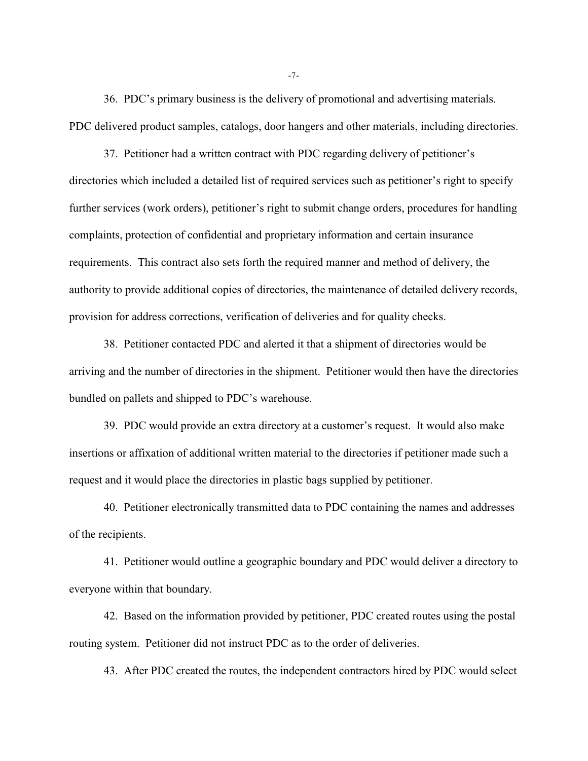36. PDC's primary business is the delivery of promotional and advertising materials. PDC delivered product samples, catalogs, door hangers and other materials, including directories.

37. Petitioner had a written contract with PDC regarding delivery of petitioner's directories which included a detailed list of required services such as petitioner's right to specify further services (work orders), petitioner's right to submit change orders, procedures for handling complaints, protection of confidential and proprietary information and certain insurance requirements. This contract also sets forth the required manner and method of delivery, the authority to provide additional copies of directories, the maintenance of detailed delivery records, provision for address corrections, verification of deliveries and for quality checks.

38. Petitioner contacted PDC and alerted it that a shipment of directories would be arriving and the number of directories in the shipment. Petitioner would then have the directories bundled on pallets and shipped to PDC's warehouse.

39. PDC would provide an extra directory at a customer's request. It would also make insertions or affixation of additional written material to the directories if petitioner made such a request and it would place the directories in plastic bags supplied by petitioner.

40. Petitioner electronically transmitted data to PDC containing the names and addresses of the recipients.

41. Petitioner would outline a geographic boundary and PDC would deliver a directory to everyone within that boundary.

42. Based on the information provided by petitioner, PDC created routes using the postal routing system. Petitioner did not instruct PDC as to the order of deliveries.

43. After PDC created the routes, the independent contractors hired by PDC would select

-7-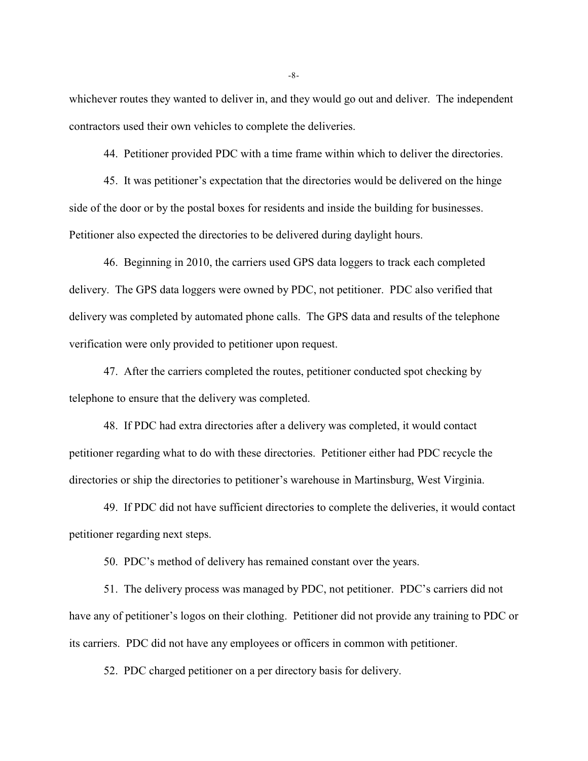whichever routes they wanted to deliver in, and they would go out and deliver. The independent contractors used their own vehicles to complete the deliveries.

44. Petitioner provided PDC with a time frame within which to deliver the directories.

45. It was petitioner's expectation that the directories would be delivered on the hinge side of the door or by the postal boxes for residents and inside the building for businesses. Petitioner also expected the directories to be delivered during daylight hours.

46. Beginning in 2010, the carriers used GPS data loggers to track each completed delivery. The GPS data loggers were owned by PDC, not petitioner. PDC also verified that delivery was completed by automated phone calls. The GPS data and results of the telephone verification were only provided to petitioner upon request.

47. After the carriers completed the routes, petitioner conducted spot checking by telephone to ensure that the delivery was completed.

48. If PDC had extra directories after a delivery was completed, it would contact petitioner regarding what to do with these directories. Petitioner either had PDC recycle the directories or ship the directories to petitioner's warehouse in Martinsburg, West Virginia.

49. If PDC did not have sufficient directories to complete the deliveries, it would contact petitioner regarding next steps.

50. PDC's method of delivery has remained constant over the years.

51. The delivery process was managed by PDC, not petitioner. PDC's carriers did not have any of petitioner's logos on their clothing. Petitioner did not provide any training to PDC or its carriers. PDC did not have any employees or officers in common with petitioner.

52. PDC charged petitioner on a per directory basis for delivery.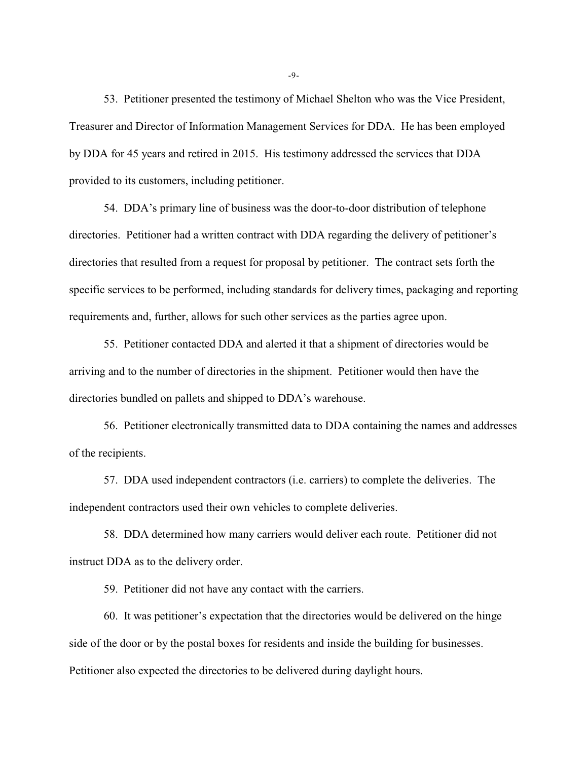53. Petitioner presented the testimony of Michael Shelton who was the Vice President, Treasurer and Director of Information Management Services for DDA. He has been employed by DDA for 45 years and retired in 2015. His testimony addressed the services that DDA provided to its customers, including petitioner.

54. DDA's primary line of business was the door-to-door distribution of telephone directories. Petitioner had a written contract with DDA regarding the delivery of petitioner's directories that resulted from a request for proposal by petitioner. The contract sets forth the specific services to be performed, including standards for delivery times, packaging and reporting requirements and, further, allows for such other services as the parties agree upon.

55. Petitioner contacted DDA and alerted it that a shipment of directories would be arriving and to the number of directories in the shipment. Petitioner would then have the directories bundled on pallets and shipped to DDA's warehouse.

56. Petitioner electronically transmitted data to DDA containing the names and addresses of the recipients.

57. DDA used independent contractors (i.e. carriers) to complete the deliveries. The independent contractors used their own vehicles to complete deliveries.

58. DDA determined how many carriers would deliver each route. Petitioner did not instruct DDA as to the delivery order.

59. Petitioner did not have any contact with the carriers.

60. It was petitioner's expectation that the directories would be delivered on the hinge side of the door or by the postal boxes for residents and inside the building for businesses. Petitioner also expected the directories to be delivered during daylight hours.

-9-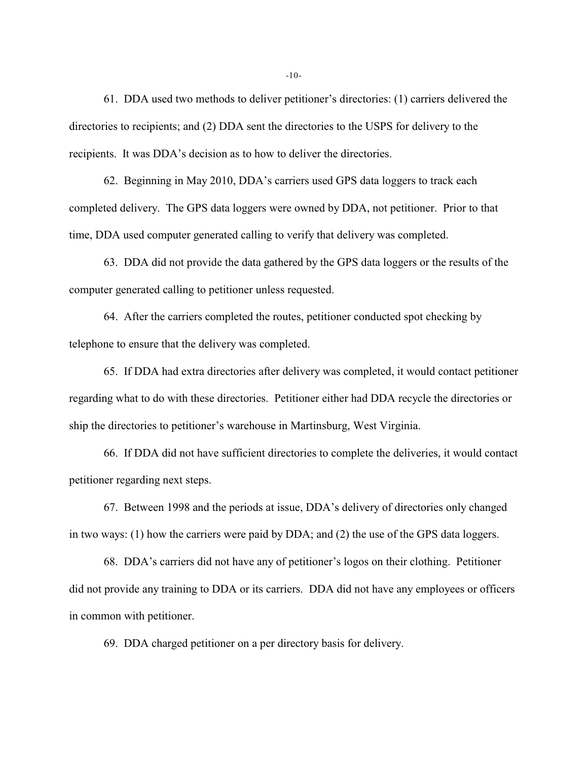61. DDA used two methods to deliver petitioner's directories: (1) carriers delivered the directories to recipients; and (2) DDA sent the directories to the USPS for delivery to the recipients. It was DDA's decision as to how to deliver the directories.

62. Beginning in May 2010, DDA's carriers used GPS data loggers to track each completed delivery. The GPS data loggers were owned by DDA, not petitioner. Prior to that time, DDA used computer generated calling to verify that delivery was completed.

63. DDA did not provide the data gathered by the GPS data loggers or the results of the computer generated calling to petitioner unless requested.

64. After the carriers completed the routes, petitioner conducted spot checking by telephone to ensure that the delivery was completed.

65. If DDA had extra directories after delivery was completed, it would contact petitioner regarding what to do with these directories. Petitioner either had DDA recycle the directories or ship the directories to petitioner's warehouse in Martinsburg, West Virginia.

66. If DDA did not have sufficient directories to complete the deliveries, it would contact petitioner regarding next steps.

67. Between 1998 and the periods at issue, DDA's delivery of directories only changed in two ways: (1) how the carriers were paid by DDA; and (2) the use of the GPS data loggers.

68. DDA's carriers did not have any of petitioner's logos on their clothing. Petitioner did not provide any training to DDA or its carriers. DDA did not have any employees or officers in common with petitioner.

69. DDA charged petitioner on a per directory basis for delivery.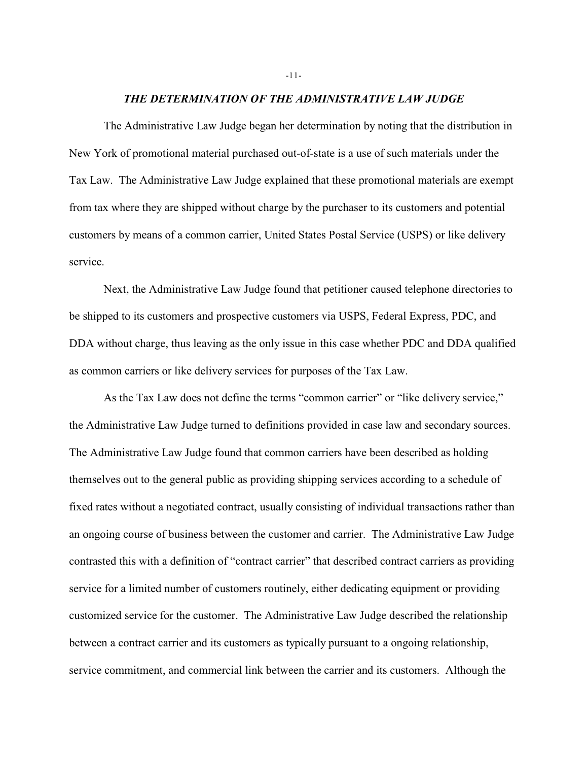#### *THE DETERMINATION OF THE ADMINISTRATIVE LAW JUDGE*

The Administrative Law Judge began her determination by noting that the distribution in New York of promotional material purchased out-of-state is a use of such materials under the Tax Law. The Administrative Law Judge explained that these promotional materials are exempt from tax where they are shipped without charge by the purchaser to its customers and potential customers by means of a common carrier, United States Postal Service (USPS) or like delivery service.

Next, the Administrative Law Judge found that petitioner caused telephone directories to be shipped to its customers and prospective customers via USPS, Federal Express, PDC, and DDA without charge, thus leaving as the only issue in this case whether PDC and DDA qualified as common carriers or like delivery services for purposes of the Tax Law.

As the Tax Law does not define the terms "common carrier" or "like delivery service," the Administrative Law Judge turned to definitions provided in case law and secondary sources. The Administrative Law Judge found that common carriers have been described as holding themselves out to the general public as providing shipping services according to a schedule of fixed rates without a negotiated contract, usually consisting of individual transactions rather than an ongoing course of business between the customer and carrier. The Administrative Law Judge contrasted this with a definition of "contract carrier" that described contract carriers as providing service for a limited number of customers routinely, either dedicating equipment or providing customized service for the customer. The Administrative Law Judge described the relationship between a contract carrier and its customers as typically pursuant to a ongoing relationship, service commitment, and commercial link between the carrier and its customers. Although the

-11-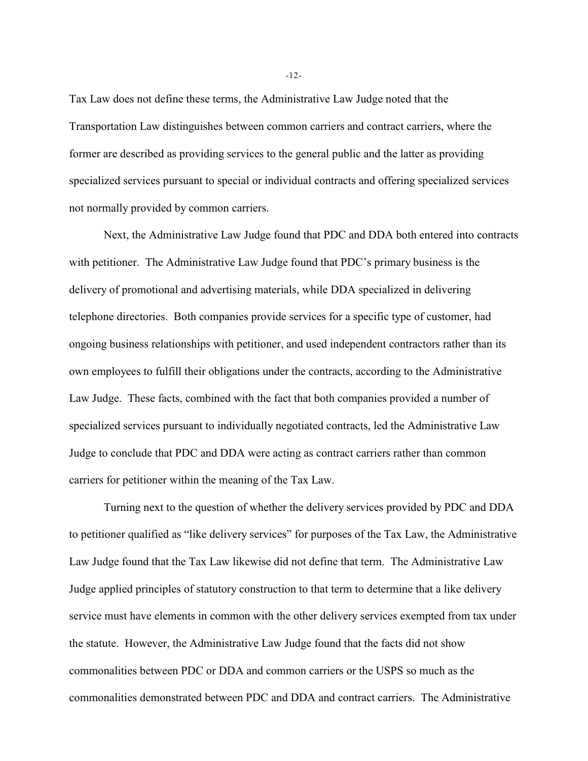Tax Law does not define these terms, the Administrative Law Judge noted that the Transportation Law distinguishes between common carriers and contract carriers, where the former are described as providing services to the general public and the latter as providing specialized services pursuant to special or individual contracts and offering specialized services not normally provided by common carriers.

Next, the Administrative Law Judge found that PDC and DDA both entered into contracts with petitioner. The Administrative Law Judge found that PDC's primary business is the delivery of promotional and advertising materials, while DDA specialized in delivering telephone directories. Both companies provide services for a specific type of customer, had ongoing business relationships with petitioner, and used independent contractors rather than its own employees to fulfill their obligations under the contracts, according to the Administrative Law Judge. These facts, combined with the fact that both companies provided a number of specialized services pursuant to individually negotiated contracts, led the Administrative Law Judge to conclude that PDC and DDA were acting as contract carriers rather than common carriers for petitioner within the meaning of the Tax Law.

Turning next to the question of whether the delivery services provided by PDC and DDA to petitioner qualified as "like delivery services" for purposes of the Tax Law, the Administrative Law Judge found that the Tax Law likewise did not define that term. The Administrative Law Judge applied principles of statutory construction to that term to determine that a like delivery service must have elements in common with the other delivery services exempted from tax under the statute. However, the Administrative Law Judge found that the facts did not show commonalities between PDC or DDA and common carriers or the USPS so much as the commonalities demonstrated between PDC and DDA and contract carriers. The Administrative

-12-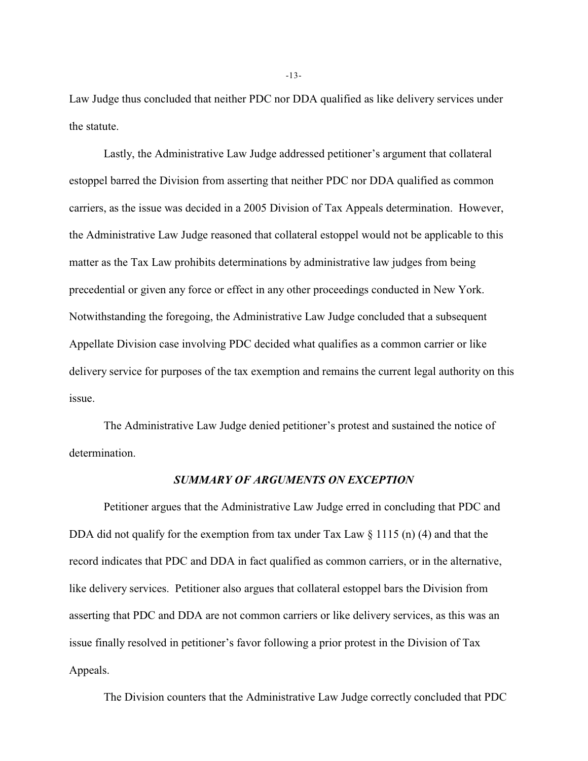Law Judge thus concluded that neither PDC nor DDA qualified as like delivery services under the statute.

Lastly, the Administrative Law Judge addressed petitioner's argument that collateral estoppel barred the Division from asserting that neither PDC nor DDA qualified as common carriers, as the issue was decided in a 2005 Division of Tax Appeals determination. However, the Administrative Law Judge reasoned that collateral estoppel would not be applicable to this matter as the Tax Law prohibits determinations by administrative law judges from being precedential or given any force or effect in any other proceedings conducted in New York. Notwithstanding the foregoing, the Administrative Law Judge concluded that a subsequent Appellate Division case involving PDC decided what qualifies as a common carrier or like delivery service for purposes of the tax exemption and remains the current legal authority on this issue.

The Administrative Law Judge denied petitioner's protest and sustained the notice of determination.

### *SUMMARY OF ARGUMENTS ON EXCEPTION*

Petitioner argues that the Administrative Law Judge erred in concluding that PDC and DDA did not qualify for the exemption from tax under Tax Law  $\S$  1115 (n) (4) and that the record indicates that PDC and DDA in fact qualified as common carriers, or in the alternative, like delivery services. Petitioner also argues that collateral estoppel bars the Division from asserting that PDC and DDA are not common carriers or like delivery services, as this was an issue finally resolved in petitioner's favor following a prior protest in the Division of Tax Appeals.

The Division counters that the Administrative Law Judge correctly concluded that PDC

-13-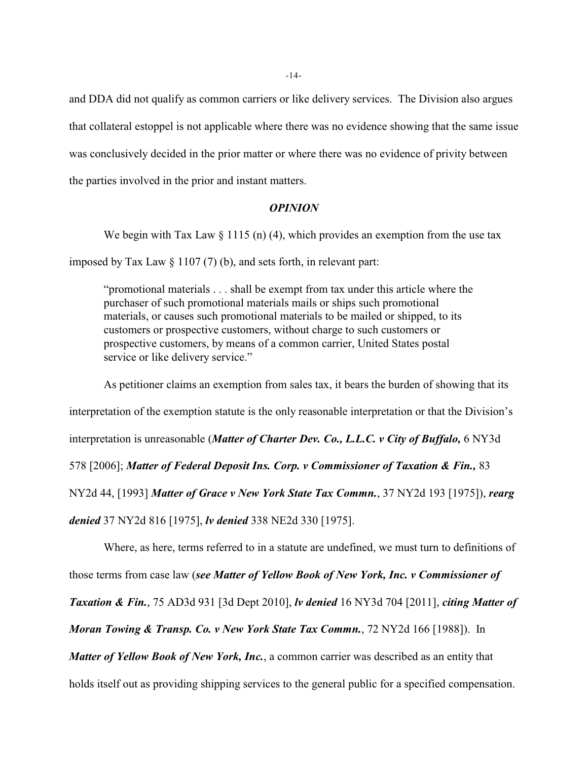and DDA did not qualify as common carriers or like delivery services. The Division also argues that collateral estoppel is not applicable where there was no evidence showing that the same issue was conclusively decided in the prior matter or where there was no evidence of privity between the parties involved in the prior and instant matters.

### *OPINION*

We begin with Tax Law  $\S 1115$  (n) (4), which provides an exemption from the use tax imposed by Tax Law  $\S 1107(7)$  (b), and sets forth, in relevant part:

"promotional materials . . . shall be exempt from tax under this article where the purchaser of such promotional materials mails or ships such promotional materials, or causes such promotional materials to be mailed or shipped, to its customers or prospective customers, without charge to such customers or prospective customers, by means of a common carrier, United States postal service or like delivery service."

As petitioner claims an exemption from sales tax, it bears the burden of showing that its interpretation of the exemption statute is the only reasonable interpretation or that the Division's interpretation is unreasonable (*Matter of Charter Dev. Co., L.L.C. v City of Buffalo,* 6 NY3d 578 [2006]; *Matter of Federal Deposit Ins. Corp. v Commissioner of Taxation & Fin.,* 83 NY2d 44, [1993] *Matter of Grace v New York State Tax Commn.*, 37 NY2d 193 [1975]), *rearg denied* 37 NY2d 816 [1975], *lv denied* 338 NE2d 330 [1975].

Where, as here, terms referred to in a statute are undefined, we must turn to definitions of those terms from case law (*see Matter of Yellow Book of New York, Inc. v Commissioner of Taxation & Fin.*, 75 AD3d 931 [3d Dept 2010], *lv denied* 16 NY3d 704 [2011], *citing Matter of Moran Towing & Transp. Co. v New York State Tax Commn.*, 72 NY2d 166 [1988]). In *Matter of Yellow Book of New York, Inc.*, a common carrier was described as an entity that holds itself out as providing shipping services to the general public for a specified compensation.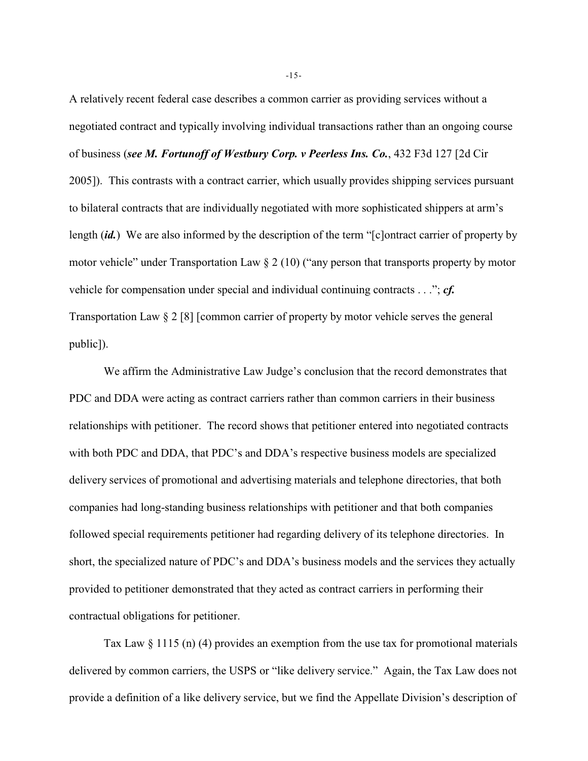A relatively recent federal case describes a common carrier as providing services without a negotiated contract and typically involving individual transactions rather than an ongoing course of business (*see M. Fortunoff of Westbury Corp. v Peerless Ins. Co.*, 432 F3d 127 [2d Cir 2005]). This contrasts with a contract carrier, which usually provides shipping services pursuant to bilateral contracts that are individually negotiated with more sophisticated shippers at arm's length (*id.*) We are also informed by the description of the term "[c]ontract carrier of property by motor vehicle" under Transportation Law § 2 (10) ("any person that transports property by motor vehicle for compensation under special and individual continuing contracts . . ."; *cf.* Transportation Law § 2 [8] [common carrier of property by motor vehicle serves the general public]).

We affirm the Administrative Law Judge's conclusion that the record demonstrates that PDC and DDA were acting as contract carriers rather than common carriers in their business relationships with petitioner. The record shows that petitioner entered into negotiated contracts with both PDC and DDA, that PDC's and DDA's respective business models are specialized delivery services of promotional and advertising materials and telephone directories, that both companies had long-standing business relationships with petitioner and that both companies followed special requirements petitioner had regarding delivery of its telephone directories. In short, the specialized nature of PDC's and DDA's business models and the services they actually provided to petitioner demonstrated that they acted as contract carriers in performing their contractual obligations for petitioner.

Tax Law § 1115 (n) (4) provides an exemption from the use tax for promotional materials delivered by common carriers, the USPS or "like delivery service." Again, the Tax Law does not provide a definition of a like delivery service, but we find the Appellate Division's description of

-15-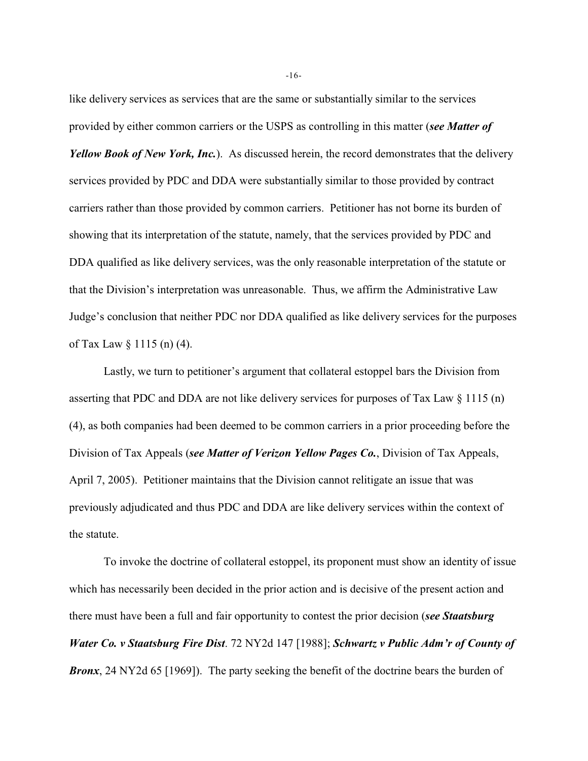like delivery services as services that are the same or substantially similar to the services provided by either common carriers or the USPS as controlling in this matter (*see Matter of Yellow Book of New York, Inc.*). As discussed herein, the record demonstrates that the delivery services provided by PDC and DDA were substantially similar to those provided by contract carriers rather than those provided by common carriers. Petitioner has not borne its burden of showing that its interpretation of the statute, namely, that the services provided by PDC and DDA qualified as like delivery services, was the only reasonable interpretation of the statute or that the Division's interpretation was unreasonable. Thus, we affirm the Administrative Law Judge's conclusion that neither PDC nor DDA qualified as like delivery services for the purposes of Tax Law § 1115 (n) (4).

Lastly, we turn to petitioner's argument that collateral estoppel bars the Division from asserting that PDC and DDA are not like delivery services for purposes of Tax Law § 1115 (n) (4), as both companies had been deemed to be common carriers in a prior proceeding before the Division of Tax Appeals (*see Matter of Verizon Yellow Pages Co.*, Division of Tax Appeals, April 7, 2005). Petitioner maintains that the Division cannot relitigate an issue that was previously adjudicated and thus PDC and DDA are like delivery services within the context of the statute.

To invoke the doctrine of collateral estoppel, its proponent must show an identity of issue which has necessarily been decided in the prior action and is decisive of the present action and there must have been a full and fair opportunity to contest the prior decision (*see Staatsburg Water Co. v Staatsburg Fire Dist*. 72 NY2d 147 [1988]; *Schwartz v Public Adm'r of County of Bronx*, 24 NY2d 65 [1969]). The party seeking the benefit of the doctrine bears the burden of

-16-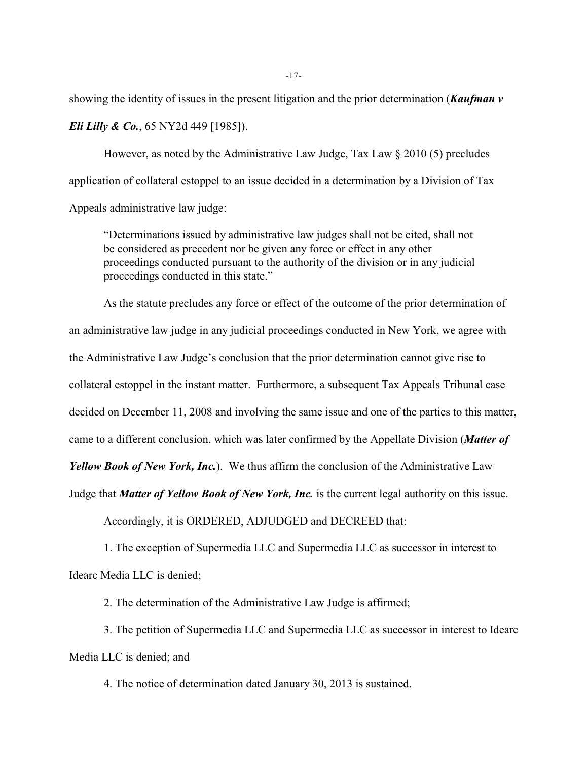showing the identity of issues in the present litigation and the prior determination (*Kaufman v Eli Lilly & Co.*, 65 NY2d 449 [1985]).

However, as noted by the Administrative Law Judge, Tax Law § 2010 (5) precludes application of collateral estoppel to an issue decided in a determination by a Division of Tax Appeals administrative law judge:

"Determinations issued by administrative law judges shall not be cited, shall not be considered as precedent nor be given any force or effect in any other proceedings conducted pursuant to the authority of the division or in any judicial proceedings conducted in this state."

As the statute precludes any force or effect of the outcome of the prior determination of an administrative law judge in any judicial proceedings conducted in New York, we agree with the Administrative Law Judge's conclusion that the prior determination cannot give rise to collateral estoppel in the instant matter. Furthermore, a subsequent Tax Appeals Tribunal case decided on December 11, 2008 and involving the same issue and one of the parties to this matter, came to a different conclusion, which was later confirmed by the Appellate Division (*Matter of*

*Yellow Book of New York, Inc.*). We thus affirm the conclusion of the Administrative Law

Judge that *Matter of Yellow Book of New York, Inc.* is the current legal authority on this issue.

Accordingly, it is ORDERED, ADJUDGED and DECREED that:

1. The exception of Supermedia LLC and Supermedia LLC as successor in interest to Idearc Media LLC is denied;

2. The determination of the Administrative Law Judge is affirmed;

3. The petition of Supermedia LLC and Supermedia LLC as successor in interest to Idearc Media LLC is denied; and

4. The notice of determination dated January 30, 2013 is sustained.